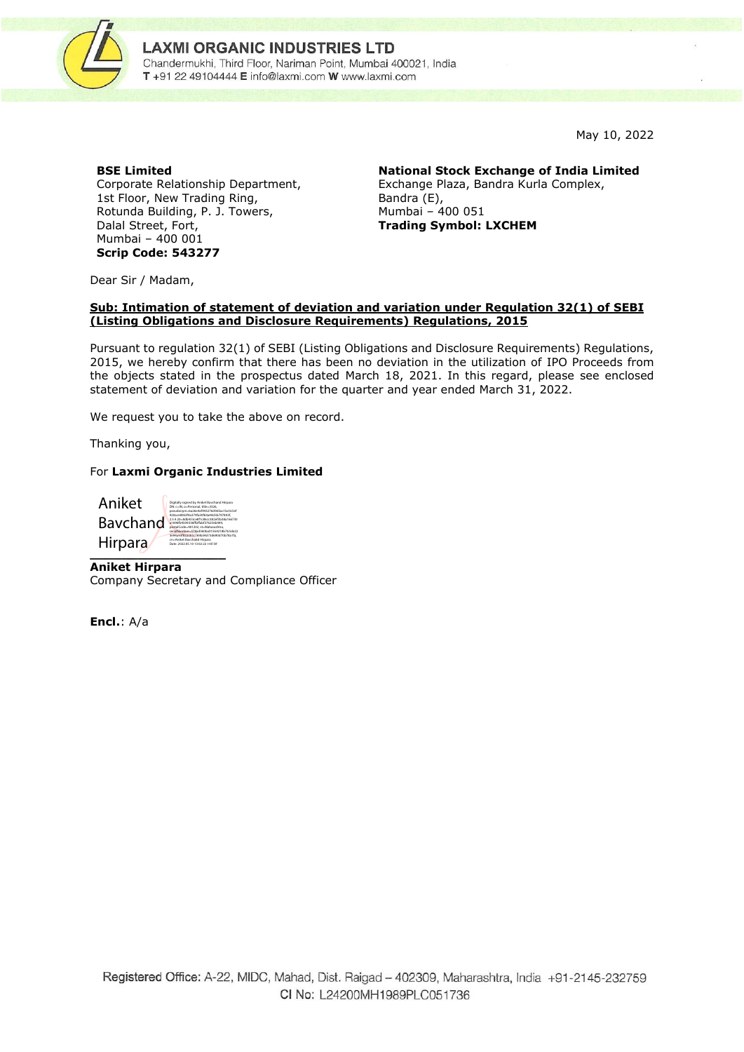

May 10, 2022

## **BSE Limited**

Corporate Relationship Department, 1st Floor, New Trading Ring, Rotunda Building, P. J. Towers, Dalal Street, Fort, Mumbai – 400 001 **Scrip Code: 543277**

**National Stock Exchange of India Limited**

Exchange Plaza, Bandra Kurla Complex, Bandra (E), Mumbai – 400 051 **Trading Symbol: LXCHEM**

Dear Sir / Madam,

## **Sub: Intimation of statement of deviation and variation under Regulation 32(1) of SEBI (Listing Obligations and Disclosure Requirements) Regulations, 2015**

Pursuant to regulation 32(1) of SEBI (Listing Obligations and Disclosure Requirements) Regulations, 2015, we hereby confirm that there has been no deviation in the utilization of IPO Proceeds from the objects stated in the prospectus dated March 18, 2021. In this regard, please see enclosed statement of deviation and variation for the quarter and year ended March 31, 2022.

We request you to take the above on record.

Thanking you,

## For **Laxmi Organic Industries Limited**

| Aniket         | Digitally signed by Aniket Baychand Hirpara<br>DN: c-IN. o-Personal, title-3326.<br>pseudonym=6a26e4af943276d9d3ac1bc0c5ef                                                                              |
|----------------|---------------------------------------------------------------------------------------------------------------------------------------------------------------------------------------------------------|
| Bavchand       | 920ace8063f4a379fa30f60a44d3b797803f.<br>2.5.4.20=8db433co8f1c86cc382of3b38a166730<br>a1696fb4509336ffbffabf376256b444.<br>postalCode-401202.st-Maharashtra.<br>serialNumber=578ad360ba01564218b7b5de22 |
| <b>Hirpara</b> | 3e94a93f822395c169b34d73d690d70b78a1fa.<br>cn-Aniket Baychand Hirpara<br>Date: 2022.05.10 13:02:22 +05'30'                                                                                              |

**Aniket Hirpara** Company Secretary and Compliance Officer

**Encl.**: A/a